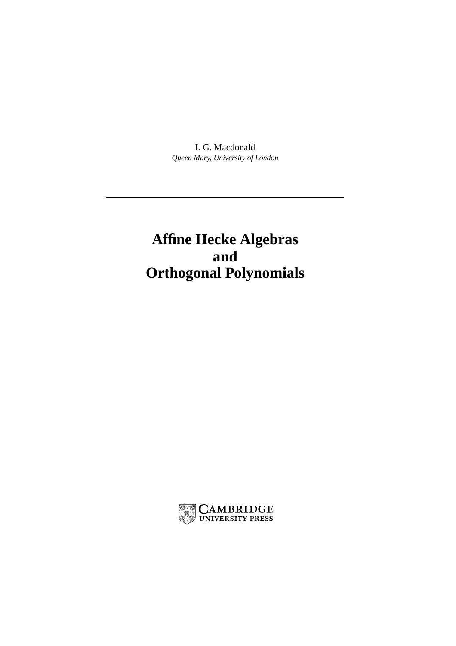I. G. Macdonald *Queen Mary, University of London*

# **Affine Hecke Algebras and Orthogonal Polynomials**

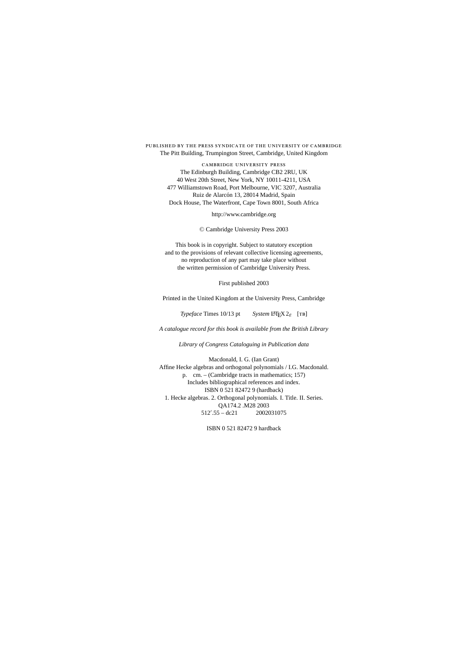#### published by the press syndicate of the university of cambridge The Pitt Building, Trumpington Street, Cambridge, United Kingdom

cambridge university press The Edinburgh Building, Cambridge CB2 2RU, UK 40 West 20th Street, New York, NY 10011-4211, USA 477 Williamstown Road, Port Melbourne, VIC 3207, Australia Ruiz de Alarcón 13, 28014 Madrid, Spain Dock House, The Waterfront, Cape Town 8001, South Africa

http://www.cambridge.org

<sup>C</sup> Cambridge University Press 2003

This book is in copyright. Subject to statutory exception and to the provisions of relevant collective licensing agreements, no reproduction of any part may take place without the written permission of Cambridge University Press.

First published 2003

Printed in the United Kingdom at the University Press, Cambridge

*Typeface* Times 10/13 pt *System* LATEX 2<sub>ε</sub> [TB]

*A catalogue record for this book is available from the British Library*

*Library of Congress Cataloguing in Publication data*

Macdonald, I. G. (Ian Grant) Affine Hecke algebras and orthogonal polynomials / I.G. Macdonald. p. cm. – (Cambridge tracts in mathematics; 157) Includes bibliographical references and index. ISBN 0 521 82472 9 (hardback) 1. Hecke algebras. 2. Orthogonal polynomials. I. Title. II. Series. QA174.2 .M28 2003 512- 2002031075

ISBN 0 521 82472 9 hardback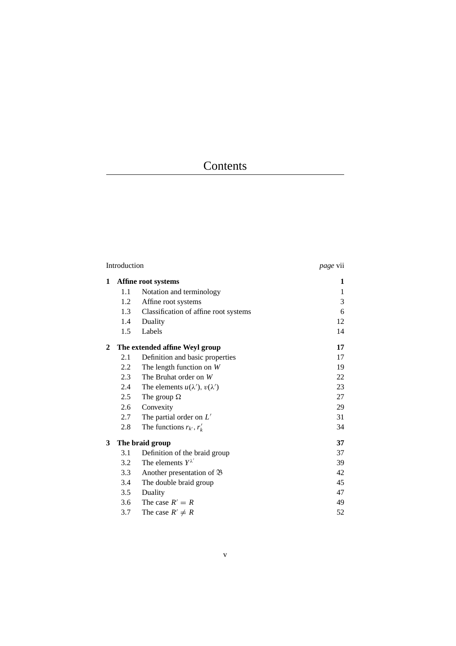## Contents

|              | Introduction                   | <i>page</i> vii                            |    |
|--------------|--------------------------------|--------------------------------------------|----|
| 1            | Affine root systems            |                                            | 1  |
|              | 1.1                            | Notation and terminology                   | 1  |
|              | 1.2                            | Affine root systems                        | 3  |
|              | 1.3                            | Classification of affine root systems      | 6  |
|              | 1.4                            | Duality                                    | 12 |
|              | 1.5                            | Labels                                     | 14 |
| $\mathbf{2}$ | The extended affine Weyl group |                                            | 17 |
|              | 2.1                            | Definition and basic properties            | 17 |
|              | 2.2                            | The length function on $W$                 | 19 |
|              | 2.3                            | The Bruhat order on $W$                    | 22 |
|              | 2.4                            | The elements $u(\lambda')$ , $v(\lambda')$ | 23 |
|              | 2.5                            | The group $\Omega$                         | 27 |
|              | 2.6                            | Convexity                                  | 29 |
|              | 2.7                            | The partial order on $L'$                  | 31 |
|              | 2.8                            | The functions $r_{k'}$ , $r'_{k}$          | 34 |
| 3            | The braid group                |                                            | 37 |
|              | 3.1                            | Definition of the braid group              | 37 |
|              | 3.2                            | The elements $Y^{\lambda'}$                | 39 |
|              | 3.3                            | Another presentation of $\mathfrak B$      | 42 |
|              | 3.4                            | The double braid group                     | 45 |
|              | 3.5                            | Duality                                    | 47 |
|              | 3.6                            | The case $R' = R$                          | 49 |
|              | 3.7                            | The case $R' \neq R$                       | 52 |
|              |                                |                                            |    |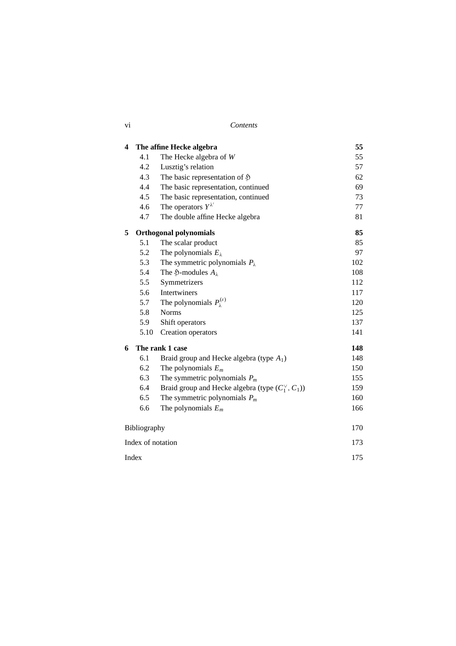| V1 | Contents |
|----|----------|
|    |          |

| 4 |                               | The affine Hecke algebra                                  | 55  |
|---|-------------------------------|-----------------------------------------------------------|-----|
|   | 4.1                           | The Hecke algebra of W                                    | 55  |
|   | 4.2                           | Lusztig's relation                                        | 57  |
|   | 4.3                           | The basic representation of $\mathfrak H$                 | 62  |
|   | 4.4                           | The basic representation, continued                       | 69  |
|   | 4.5                           | The basic representation, continued                       | 73  |
|   | 4.6                           | The operators $Y^{\lambda'}$                              | 77  |
|   | 4.7                           | The double affine Hecke algebra                           | 81  |
| 5 | <b>Orthogonal polynomials</b> |                                                           | 85  |
|   | 5.1                           | The scalar product                                        | 85  |
|   | 5.2                           | The polynomials $E_{\lambda}$                             | 97  |
|   | 5.3                           | The symmetric polynomials $P_{\lambda}$                   | 102 |
|   | 5.4                           | The $\mathfrak{H}\text{-modules }A_{\lambda}$             | 108 |
|   | 5.5                           | Symmetrizers                                              | 112 |
|   | 5.6                           | Intertwiners                                              | 117 |
|   | 5.7                           | The polynomials $P_{\lambda}^{(\varepsilon)}$             | 120 |
|   | 5.8                           | <b>Norms</b>                                              | 125 |
|   | 5.9                           | Shift operators                                           | 137 |
|   | 5.10                          | Creation operators                                        | 141 |
| 6 | The rank 1 case               |                                                           | 148 |
|   | 6.1                           | Braid group and Hecke algebra (type $A_1$ )               | 148 |
|   | 6.2                           | The polynomials $E_m$                                     | 150 |
|   | 6.3                           | The symmetric polynomials $P_m$                           | 155 |
|   | 6.4                           | Braid group and Hecke algebra (type $(C_1^{\vee}, C_1)$ ) | 159 |
|   | 6.5                           | The symmetric polynomials $P_m$                           | 160 |
|   | 6.6                           | The polynomials $E_m$                                     | 166 |
|   | Bibliography                  |                                                           | 170 |
|   | Index of notation             |                                                           |     |
|   | Index                         |                                                           |     |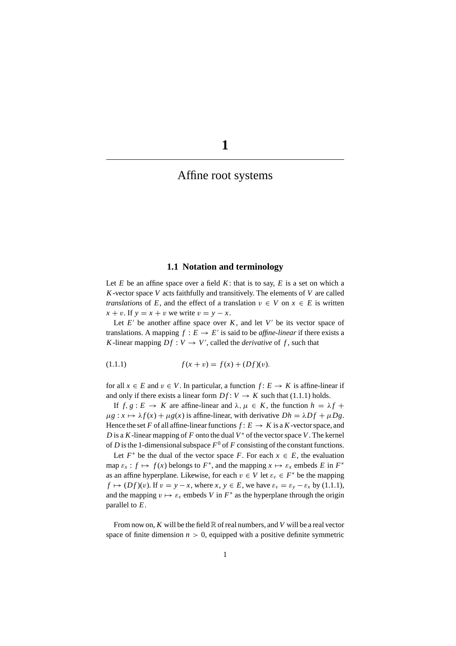## Affine root systems

#### **1.1 Notation and terminology**

Let  $E$  be an affine space over a field  $K$ : that is to say,  $E$  is a set on which a *K*-vector space *V* acts faithfully and transitively. The elements of *V* are called *translations* of *E*, and the effect of a translation  $v \in V$  on  $x \in E$  is written  $x + v$ . If  $y = x + v$  we write  $v = y - x$ .

Let  $E'$  be another affine space over  $K$ , and let  $V'$  be its vector space of translations. A mapping  $f : E \to E'$  is said to be *affine-linear* if there exists a *K*-linear mapping  $Df : V \to V'$ , called the *derivative* of *f*, such that

(1.1.1) 
$$
f(x + v) = f(x) + (Df)(v).
$$

for all  $x \in E$  and  $v \in V$ . In particular, a function  $f: E \to K$  is affine-linear if and only if there exists a linear form  $Df: V \to K$  such that (1.1.1) holds.

If  $f, g: E \to K$  are affine-linear and  $\lambda, \mu \in K$ , the function  $h = \lambda f +$  $\mu g : x \mapsto \lambda f(x) + \mu g(x)$  is affine-linear, with derivative  $Dh = \lambda Df + \mu Dg$ . Hence the set *F* of all affine-linear functions  $f: E \to K$  is a *K*-vector space, and *D* is a *K*-linear mapping of *F* onto the dual *V*<sup>∗</sup> of the vector space *V*. The kernel of *D* is the 1-dimensional subspace  $F^0$  of *F* consisting of the constant functions.

Let  $F^*$  be the dual of the vector space F. For each  $x \in E$ , the evaluation map  $\varepsilon_x$ :  $f \mapsto f(x)$  belongs to  $F^*$ , and the mapping  $x \mapsto \varepsilon_x$  embeds  $E$  in  $F^*$ as an affine hyperplane. Likewise, for each  $v \in V$  let  $\varepsilon_v \in F^*$  be the mapping  $f \mapsto (Df)(v)$ . If  $v = y - x$ , where  $x, y \in E$ , we have  $\varepsilon_v = \varepsilon_y - \varepsilon_x$  by (1.1.1), and the mapping  $v \mapsto \varepsilon_v$  embeds *V* in  $F^*$  as the hyperplane through the origin parallel to *E*.

From now on, *K* will be the field R of real numbers, and *V* will be a real vector space of finite dimension  $n > 0$ , equipped with a positive definite symmetric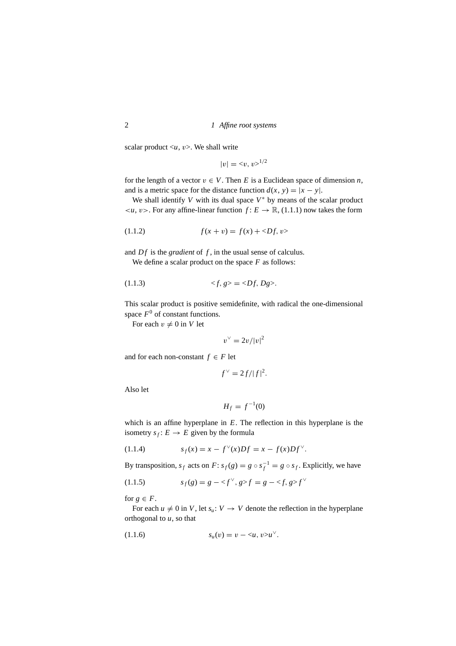scalar product  $\langle u, v \rangle$ . We shall write

$$
|v| = \langle v, v \rangle^{1/2}
$$

for the length of a vector  $v \in V$ . Then *E* is a Euclidean space of dimension *n*, and is a metric space for the distance function  $d(x, y) = |x - y|$ .

We shall identify *V* with its dual space *V*<sup>∗</sup> by means of the scalar product  $\langle u, v \rangle$ . For any affine-linear function  $f: E \to \mathbb{R}$ , (1.1.1) now takes the form

(1.1.2) 
$$
f(x + v) = f(x) + \langle Df, v \rangle
$$

and *Df* is the *gradient* of *f*, in the usual sense of calculus.

We define a scalar product on the space *F* as follows:

$$
(1.1.3) \quad \langle f, g \rangle = \langle Df, Dg \rangle.
$$

This scalar product is positive semidefinite, with radical the one-dimensional space  $F^0$  of constant functions.

For each  $v \neq 0$  in *V* let

$$
v^{\vee}=2v/|v|^2
$$

and for each non-constant  $f \in F$  let

$$
f^{\vee} = 2f/|f|^2.
$$

Also let

$$
H_f = f^{-1}(0)
$$

which is an affine hyperplane in *E*. The reflection in this hyperplane is the isometry  $s_f: E \to E$  given by the formula

(1.1.4) 
$$
s_f(x) = x - f^{\vee}(x)Df = x - f(x)Df^{\vee}.
$$

By transposition,  $s_f$  acts on  $F: s_f(g) = g \circ s_f^{-1} = g \circ s_f$ . Explicitly, we have

$$
(1.1.5) \t\t s_f(g) = g - \langle f^\vee, g \rangle f = g - \langle f, g \rangle f^\vee
$$

for  $g \in F$ .

For each  $u \neq 0$  in *V*, let  $s_u: V \to V$  denote the reflection in the hyperplane orthogonal to *u*, so that

(1.1.6) 
$$
s_u(v) = v - \langle u, v \rangle u^{\vee}.
$$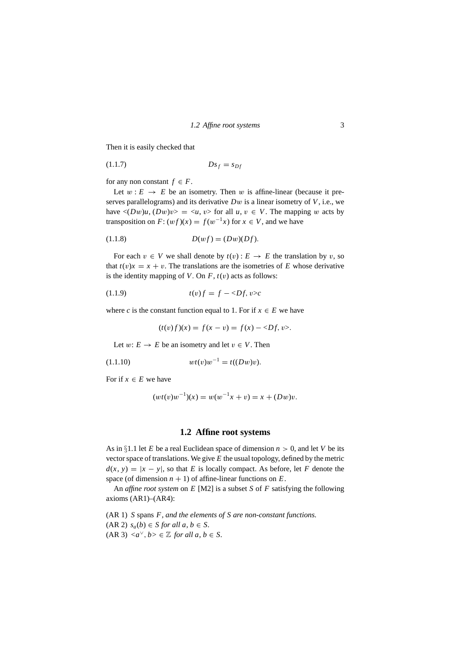Then it is easily checked that

$$
(1.1.7) \t\t Ds_f = s_{Df}
$$

for any non constant  $f \in F$ .

Let  $w : E \to E$  be an isometry. Then w is affine-linear (because it preserves parallelograms) and its derivative *D*w is a linear isometry of *V*, i.e., we have  $\langle (Dw)u, (Dw)v \rangle = \langle u, v \rangle$  for all  $u, v \in V$ . The mapping w acts by transposition on  $F: (wf)(x) = f(w^{-1}x)$  for  $x \in V$ , and we have

$$
(1.1.8) \t\t D(wf) = (Dw)(Df).
$$

For each  $v \in V$  we shall denote by  $t(v) : E \to E$  the translation by v, so that  $t(v)x = x + v$ . The translations are the isometries of *E* whose derivative is the identity mapping of *V*. On  $F$ ,  $t(v)$  acts as follows:

$$
(1.1.9) \t t(v)f = f - \langle Df, v \rangle c
$$

where *c* is the constant function equal to 1. For if  $x \in E$  we have

$$
(t(v)f)(x) = f(x - v) = f(x) - \langle Df, v \rangle.
$$

Let  $w: E \to E$  be an isometry and let  $v \in V$ . Then

<sup>w</sup>*t*(v)w−<sup>1</sup> (1.1.10) <sup>=</sup> *<sup>t</sup>*((*D*w)v).

For if  $x \in E$  we have

$$
(wt(v)w^{-1})(x) = w(w^{-1}x + v) = x + (Dw)v.
$$

#### **1.2 Affine root systems**

As in  $\S1.1$  let *E* be a real Euclidean space of dimension  $n > 0$ , and let *V* be its vector space of translations. We give *E* the usual topology, defined by the metric  $d(x, y) = |x - y|$ , so that *E* is locally compact. As before, let *F* denote the space (of dimension  $n + 1$ ) of affine-linear functions on  $E$ .

An *affine root system* on *E* [M2] is a subset *S* of *F* satisfying the following axioms  $(AR1)–(AR4)$ :

(AR 1) *S* spans *F, and the elements of Sare non-constant functions.*  $(AR\ 2)$   $s_a(b) \in S$  *for all a, b*  $\in S$ *.*  $(AR 3) \langle a^{\vee}, b \rangle \in \mathbb{Z}$  *for all a, b*  $\in S$ *.*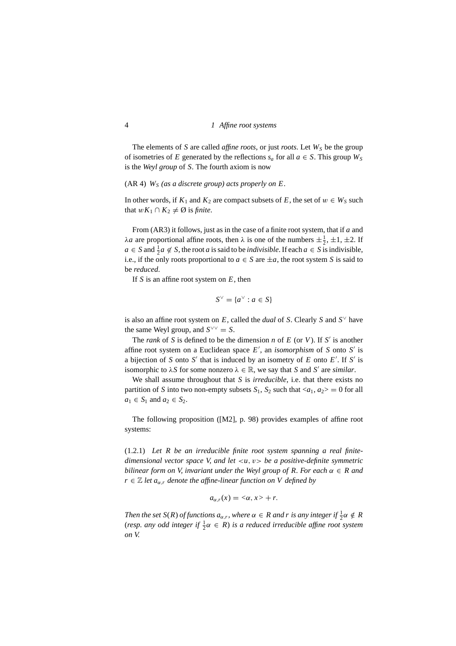The elements of *S* are called *affine roots*, or just *roots*. Let  $W<sub>S</sub>$  be the group of isometries of *E* generated by the reflections  $s_a$  for all  $a \in S$ . This group  $W_S$ is the *Weyl group* of *S*. The fourth axiom is now

#### (AR 4) *WS (as a discrete group) acts properly on E.*

In other words, if  $K_1$  and  $K_2$  are compact subsets of *E*, the set of  $w \in W_S$  such that  $wK_1 \cap K_2 \neq \emptyset$  is *finite*.

From (AR3) it follows, just as in the case of a finite root system, that if *a* and  $\lambda a$  are proportional affine roots, then  $\lambda$  is one of the numbers  $\pm \frac{1}{2}$ ,  $\pm 1$ ,  $\pm 2$ . If *a* ∈ *S* and  $\frac{1}{2}$ *a* ∉ *S*, the root *a* is said to be *indivisible*. If each *a* ∈ *S* is indivisible, i.e., if the only roots proportional to  $a \in S$  are  $\pm a$ , the root system *S* is said to be *reduced*.

If *S* is an affine root system on *E*, then

$$
S^{\vee} = \{a^{\vee} : a \in S\}
$$

is also an affine root system on  $E$ , called the *dual* of *S*. Clearly *S* and  $S^{\vee}$  have the same Weyl group, and  $S^{\vee\vee} = S$ .

The *rank* of *S* is defined to be the dimension *n* of *E* (or *V*). If *S'* is another affine root system on a Euclidean space *E* , an *isomorphism* of *S* onto *S* is a bijection of *S* onto *S'* that is induced by an isometry of *E* onto *E'*. If *S'* is isomorphic to  $\lambda S$  for some nonzero  $\lambda \in \mathbb{R}$ , we say that *S* and *S'* are *similar*.

We shall assume throughout that *S* is *irreducible*, i.e. that there exists no partition of *S* into two non-empty subsets  $S_1$ ,  $S_2$  such that  $\langle a_1, a_2 \rangle = 0$  for all *a*<sub>1</sub> ∈ *S*<sub>1</sub> and *a*<sub>2</sub> ∈ *S*<sub>2</sub>.

The following proposition ([M2], p. 98) provides examples of affine root systems:

(1.2.1) *Let R be an irreducible finite root system spanning a real finitedimensional vector space V, and let* <*u*, v> *be a positive-definite symmetric bilinear form on V, invariant under the Weyl group of R. For each*  $\alpha \in R$  and  $r \in \mathbb{Z}$  *let*  $a_{\alpha,r}$  *denote the affine-linear function on V defined by* 

$$
a_{\alpha,r}(x) = \langle \alpha, x \rangle + r.
$$

*Then the set*  $S(R)$  *of functions*  $a_{\alpha,r}$ *, where*  $\alpha \in R$  *and*  $r$  *is any integer if*  $\frac{1}{2}\alpha \notin R$ (*resp. any odd integer if*  $\frac{1}{2}\alpha \in R$ ) *is a reduced irreducible affine root system on V.*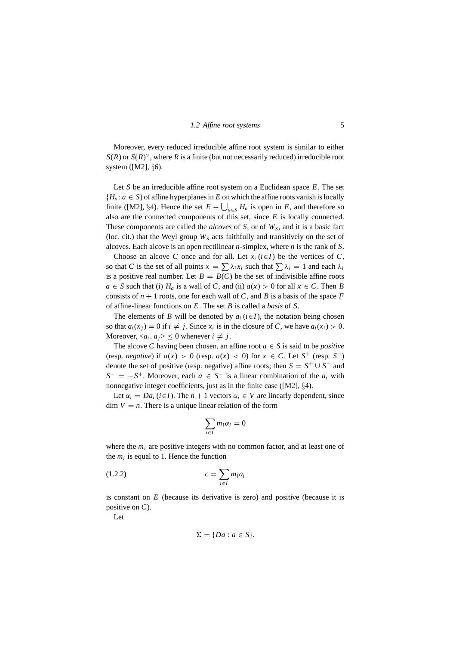Moreover, every reduced irreducible affine root system is similar to either *S*(*R*) or *S*(*R*) <sup>∨</sup>, where *R* is a finite (but not necessarily reduced) irreducible root system ([M2], *§*6).

Let *S* be an irreducible affine root system on a Euclidean space *E*. The set  ${H_a: a \in S}$  of affine hyperplanes in *E* on which the affine roots vanish is locally finite ([M2], §4). Hence the set  $E - \bigcup_{a \in S} H_a$  is open in *E*, and therefore so also are the connected components of this set, since *E* is locally connected. These components are called the *alcoves* of *S*, or of  $W<sub>S</sub>$ , and it is a basic fact (loc. cit.) that the Weyl group  $W<sub>S</sub>$  acts faithfully and transitively on the set of alcoves. Each alcove is an open rectilinear *n*-simplex, where *n* is the rank of *S*.

Choose an alcove *C* once and for all. Let  $x_i$  ( $i \in I$ ) be the vertices of *C*, so that *C* is the set of all points  $x = \sum \lambda_i x_i$  such that  $\sum \lambda_i = 1$  and each  $\lambda_i$ is a positive real number. Let  $B = B(C)$  be the set of indivisible affine roots  $a \in S$  such that (i)  $H_a$  is a wall of *C*, and (ii)  $a(x) > 0$  for all  $x \in C$ . Then *B* consists of  $n + 1$  roots, one for each wall of *C*, and *B* is a basis of the space *F* of affine-linear functions on *E*. The set *B* is called a *basis* of *S*.

The elements of *B* will be denoted by  $a_i$  ( $i \in I$ ), the notation being chosen so that  $a_i(x_j) = 0$  if  $i \neq j$ . Since  $x_i$  is in the closure of *C*, we have  $a_i(x_i) > 0$ . Moreover,  $\langle a_i, a_j \rangle \leq 0$  whenever  $i \neq j$ .

The alcove *C* having been chosen, an affine root  $a \in S$  is said to be *positive* (resp. *negative*) if  $a(x) > 0$  (resp.  $a(x) < 0$ ) for  $x \in C$ . Let  $S^+$  (resp.  $S^-$ ) denote the set of positive (resp. negative) affine roots; then  $S = S^+ \cup S^-$  and  $S^- = -S^+$ . Moreover, each  $a \in S^+$  is a linear combination of the  $a_i$  with nonnegative integer coefficients, just as in the finite case ([M2], *§*4).

Let  $\alpha_i = Da_i (i \in I)$ . The  $n + 1$  vectors  $\alpha_i \in V$  are linearly dependent, since  $\dim V = n$ . There is a unique linear relation of the form

$$
\sum_{i\in I} m_i\alpha_i=0
$$

where the  $m_i$  are positive integers with no common factor, and at least one of the  $m_i$  is equal to 1. Hence the function

$$
(1.2.2) \t\t c = \sum_{i \in I} m_i a_i
$$

is constant on *E* (because its derivative is zero) and positive (because it is positive on *C*).

Let

$$
\Sigma = \{Da : a \in S\}.
$$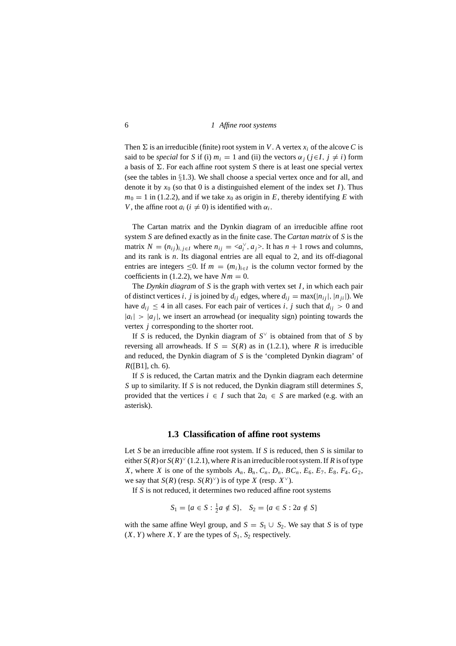Then  $\Sigma$  is an irreducible (finite) root system in *V*. A vertex  $x_i$  of the alcove *C* is said to be *special* for *S* if (i)  $m_i = 1$  and (ii) the vectors  $\alpha_j$  ( $j \in I$ ,  $j \neq i$ ) form a basis of  $\Sigma$ . For each affine root system *S* there is at least one special vertex (see the tables in *§*1.3). We shall choose a special vertex once and for all, and denote it by  $x_0$  (so that 0 is a distinguished element of the index set *I*). Thus  $m_0 = 1$  in (1.2.2), and if we take  $x_0$  as origin in *E*, thereby identifying *E* with *V*, the affine root  $a_i$  ( $i \neq 0$ ) is identified with  $\alpha_i$ .

The Cartan matrix and the Dynkin diagram of an irreducible affine root system *S* are defined exactly as in the finite case. The *Cartan matrix* of *S* is the matrix  $N = (n_{ij})_{i,j \in I}$  where  $n_{ij} = \langle a_i^{\vee}, a_j \rangle$ . It has  $n + 1$  rows and columns, and its rank is *n*. Its diagonal entries are all equal to 2, and its off-diagonal entries are integers  $\leq 0$ . If  $m = (m_i)_{i \in I}$  is the column vector formed by the coefficients in (1.2.2), we have  $Nm = 0$ .

The *Dynkin diagram* of *S* is the graph with vertex set *I*, in which each pair of distinct vertices *i*, *j* is joined by  $d_{ij}$  edges, where  $d_{ij} = \max(|n_{ij}|, |n_{ji}|)$ . We have  $d_{ij} \leq 4$  in all cases. For each pair of vertices *i*, *j* such that  $d_{ij} > 0$  and  $|a_i| > |a_j|$ , we insert an arrowhead (or inequality sign) pointing towards the vertex *j* corresponding to the shorter root.

If *S* is reduced, the Dynkin diagram of  $S^{\vee}$  is obtained from that of *S* by reversing all arrowheads. If  $S = S(R)$  as in (1.2.1), where *R* is irreducible and reduced, the Dynkin diagram of *S* is the 'completed Dynkin diagram' of *R*([B1], ch. 6).

If *S* is reduced, the Cartan matrix and the Dynkin diagram each determine *S* up to similarity. If *S* is not reduced, the Dynkin diagram still determines *S*, provided that the vertices  $i \in I$  such that  $2a_i \in S$  are marked (e.g. with an asterisk).

#### **1.3 Classification of affine root systems**

Let *S* be an irreducible affine root system. If *S* is reduced, then *S* is similar to either  $S(R)$  or  $S(R)^\vee$  (1.2.1), where *R* is an irreducible root system. If *R* is of type *X*, where *X* is one of the symbols  $A_n$ ,  $B_n$ ,  $C_n$ ,  $D_n$ ,  $BC_n$ ,  $E_6$ ,  $E_7$ ,  $E_8$ ,  $F_4$ ,  $G_2$ , we say that *S*(*R*) (resp. *S*(*R*)<sup> $\vee$ </sup>) is of type *X* (resp. *X*<sup> $\vee$ </sup>).

If *S* is not reduced, it determines two reduced affine root systems

$$
S_1 = \{a \in S : \frac{1}{2}a \notin S\}, \quad S_2 = \{a \in S : 2a \notin S\}
$$

with the same affine Weyl group, and  $S = S_1 \cup S_2$ . We say that *S* is of type  $(X, Y)$  where *X*, *Y* are the types of  $S_1$ ,  $S_2$  respectively.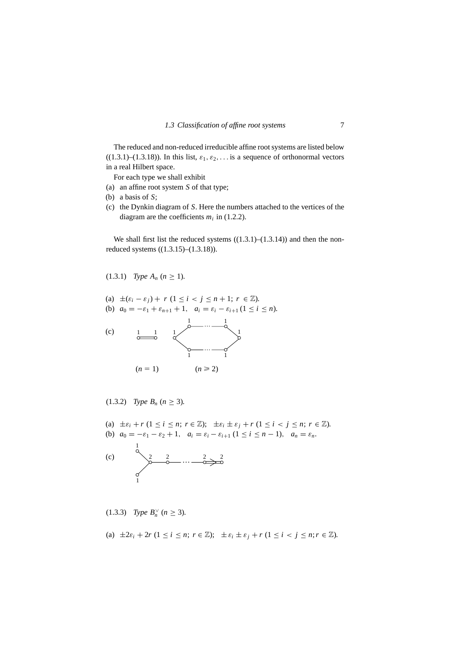The reduced and non-reduced irreducible affine root systems are listed below  $((1.3.1)–(1.3.18))$ . In this list,  $\varepsilon_1, \varepsilon_2, \ldots$  is a sequence of orthonormal vectors in a real Hilbert space.

For each type we shall exhibit

- (a) an affine root system *S* of that type;
- (b) a basis of *S*;
- (c) the Dynkin diagram of *S*. Here the numbers attached to the vertices of the diagram are the coefficients  $m_i$  in (1.2.2).

We shall first list the reduced systems  $((1.3.1)–(1.3.14))$  and then the nonreduced systems ((1.3.15)–(1.3.18)).

 $(1.3.1)$  *Type*  $A_n$  ( $n \geq 1$ ).

- (a)  $\pm(\varepsilon_i \varepsilon_j) + r (1 \le i < j \le n + 1; r \in \mathbb{Z})$ .
- (b)  $a_0 = -\varepsilon_1 + \varepsilon_{n+1} + 1$ ,  $a_i = \varepsilon_i \varepsilon_{i+1} (1 \le i \le n)$ .



 $(1.3.2)$  *Type*  $B_n$  ( $n \ge 3$ ).

- (a)  $\pm \varepsilon_i + r$   $(1 \leq i \leq n; r \in \mathbb{Z})$ ;  $\pm \varepsilon_i \pm \varepsilon_j + r$   $(1 \leq i \leq j \leq n; r \in \mathbb{Z})$ .
- (b)  $a_0 = -\varepsilon_1 \varepsilon_2 + 1$ ,  $a_i = \varepsilon_i \varepsilon_{i+1}$  ( $1 \le i \le n-1$ ),  $a_n = \varepsilon_n$ .

(c) 
$$
\frac{1}{2}
$$
  $2$   $...$   $-\frac{2}{2}$   $-\frac{2}{2}$ 

$$
(1.3.3) \quad Type \ B_n^{\vee} \ (n \geq 3).
$$

(a) 
$$
\pm 2\varepsilon_i + 2r
$$
  $(1 \le i \le n; r \in \mathbb{Z}); \ \pm \varepsilon_i \pm \varepsilon_j + r$   $(1 \le i < j \le n; r \in \mathbb{Z}).$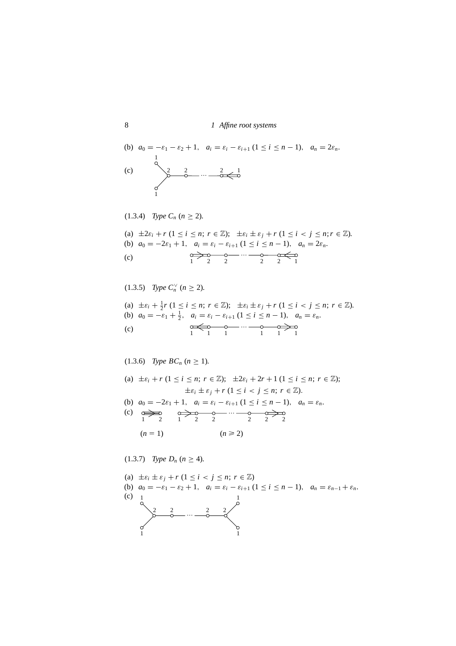(b) 
$$
a_0 = -\varepsilon_1 - \varepsilon_2 + 1
$$
,  $a_i = \varepsilon_i - \varepsilon_{i+1} (1 \le i \le n-1)$ ,  $a_n = 2\varepsilon_n$ .  
\n(c)  $\sum_{\substack{1 \text{odd } n}}^2 \frac{2}{n} \cdots \frac{2}{n} \frac{1}{n}$ 

(1.3.4) *Type Cn* (*n* ≥ 2)*.* (a) <sup>±</sup>2ε*<sup>i</sup>* <sup>+</sup> *<sup>r</sup>* (1 <sup>≤</sup> *<sup>i</sup>* <sup>≤</sup> *<sup>n</sup>*; *<sup>r</sup>* <sup>∈</sup> <sup>Z</sup>); <sup>±</sup>ε*<sup>i</sup>* <sup>±</sup> <sup>ε</sup> *<sup>j</sup>* <sup>+</sup> *<sup>r</sup>* (1 <sup>≤</sup> *<sup>i</sup>* <sup>&</sup>lt; *<sup>j</sup>* <sup>≤</sup> *<sup>n</sup>*;*<sup>r</sup>* <sup>∈</sup> <sup>Z</sup>)*.* (b) *a*<sup>0</sup> = −2ε<sup>1</sup> + 1, *ai* = ε*<sup>i</sup>* − ε*<sup>i</sup>*+<sup>1</sup> (1 ≤ *i* ≤ *n* − 1), *an* = 2ε*n.* 122 221 … (c)

(1.3.5) Type 
$$
C_n
$$
'  $(n \ge 2)$ .  
\n(a)  $\pm \varepsilon_i + \frac{1}{2}r$   $(1 \le i \le n; r \in \mathbb{Z}); \ \pm \varepsilon_i \pm \varepsilon_j + r$   $(1 \le i < j \le n; r \in \mathbb{Z})$ .  
\n(b)  $a_0 = -\varepsilon_1 + \frac{1}{2}, \ a_i = \varepsilon_i - \varepsilon_{i+1}$   $(1 \le i \le n - 1), \ a_n = \varepsilon_n$ .  
\n(c)

(1.3.6) *Type BC<sub>n</sub>* 
$$
(n \ge 1)
$$
.

(a) 
$$
\pm \varepsilon_i + r
$$
  $(1 \le i \le n; r \in \mathbb{Z})$ ;  $\pm 2\varepsilon_i + 2r + 1$   $(1 \le i \le n; r \in \mathbb{Z})$ ;  
\t $\pm \varepsilon_i \pm \varepsilon_j + r$   $(1 \le i < j \le n; r \in \mathbb{Z})$ .  
(b)  $a_0 = -2\varepsilon_1 + 1$ ,  $a_i = \varepsilon_i - \varepsilon_{i+1}$   $(1 \le i \le n - 1)$ ,  $a_n = \varepsilon_n$ .  
(c)  $\overrightarrow{a_0} = \overrightarrow{a_0} = \overrightarrow{a_1} = \overrightarrow{a_2} = \overrightarrow{a_2} = \overrightarrow{a_2} = \overrightarrow{a_3} = \overrightarrow{a_2} = \overrightarrow{a_3} = \overrightarrow{a_3} = \overrightarrow{a_2} = \overrightarrow{a_3} = \overrightarrow{a_3} = \overrightarrow{a_3} = \overrightarrow{a_3} = \overrightarrow{a_3} = \overrightarrow{a_3} = \overrightarrow{a_3} = \overrightarrow{a_3} = \overrightarrow{a_3} = \overrightarrow{a_3} = \overrightarrow{a_3} = \overrightarrow{a_3} = \overrightarrow{a_3} = \overrightarrow{a_3} = \overrightarrow{a_3} = \overrightarrow{a_3} = \overrightarrow{a_3} = \overrightarrow{a_3} = \overrightarrow{a_3} = \overrightarrow{a_3} = \overrightarrow{a_3} = \overrightarrow{a_3} = \overrightarrow{a_3} = \overrightarrow{a_3} = \overrightarrow{a_3} = \overrightarrow{a_3} = \overrightarrow{a_3} = \overrightarrow{a_3} = \overrightarrow{a_3} = \overrightarrow{a_3} = \overrightarrow{a_3} = \overrightarrow{a_3} = \overrightarrow{a_3} = \overrightarrow{a_3} = \overrightarrow{a_3} = \overrightarrow{a_3} = \overrightarrow{a_3} = \overrightarrow{a_3} = \overrightarrow{a_3} = \overrightarrow{a_3} = \overrightarrow{a_3} = \overrightarrow{a_3} = \overrightarrow{a_3} = \overrightarrow{a_3} = \overrightarrow{a_3} = \overrightarrow{a_3} = \overrightarrow{a_3} = \overrightarrow{a_3} = \overrightarrow{a_3} = \overrightarrow{a_3} = \over$ 

(1.3.7) *Type D<sub>n</sub>* ( $n \ge 4$ ).

(a) 
$$
\pm \varepsilon_i \pm \varepsilon_j + r
$$
  $(1 \le i < j \le n; r \in \mathbb{Z})$   
\n(b)  $a_0 = -\varepsilon_1 - \varepsilon_2 + 1$ ,  $a_i = \varepsilon_i - \varepsilon_{i+1}$   $(1 \le i \le n - 1)$ ,  $a_n = \varepsilon_{n-1} + \varepsilon_n$ .  
\n(c)  $\frac{1}{\begin{pmatrix} 2 & 2 & 2 \ 0 & \cdots & 0 \\ 1 & 1 & 1 \end{pmatrix}}$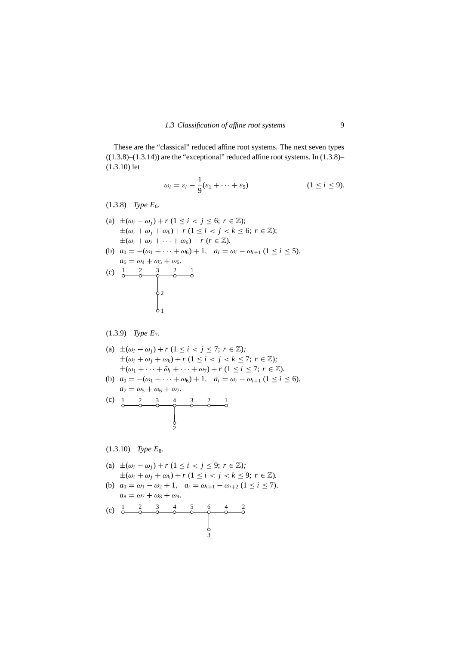These are the "classical" reduced affine root systems. The next seven types  $((1.3.8)–(1.3.14))$  are the "exceptional" reduced affine root systems. In  $(1.3.8)$ – (1.3.10) let

$$
\omega_i = \varepsilon_i - \frac{1}{9}(\varepsilon_1 + \dots + \varepsilon_9) \qquad (1 \leq i \leq 9).
$$

 $(1.3.8)$  *Type*  $E_6$ *.* 

(a) 
$$
\pm(\omega_i - \omega_j) + r
$$
  $(1 \le i < j \le 6; r \in \mathbb{Z});$   
\t $\pm(\omega_i + \omega_j + \omega_k) + r$   $(1 \le i < j < k \le 6; r \in \mathbb{Z});$   
\t $\pm(\omega_i + \omega_2 + \cdots + \omega_6) + r$   $(r \in \mathbb{Z}).$ 

(b) 
$$
a_0 = -(\omega_1 + \cdots + \omega_6) + 1
$$
,  $a_i = \omega_i - \omega_{i+1} (1 \le i \le 5)$ ,  
 $a_i = \omega_i + \omega_i + \omega_6$ 



(1.3.9) *Type E*7*.*

(a) 
$$
\pm(\omega_i - \omega_j) + r
$$
 (1  $\leq i < j \leq 7$ ;  $r \in \mathbb{Z}$ );  $\pm(\omega_i + \omega_j + \omega_k) + r$  (1  $\leq i < j < k \leq 7$ ;  $r \in \mathbb{Z}$ );  $\pm(\omega_1 + \cdots + \hat{\omega}_i + \cdots + \omega_7) + r$  (1  $\leq i \leq 7$ ;  $r \in \mathbb{Z}$ ).

(b) 
$$
a_0 = -(\omega_1 + \cdots + \omega_6) + 1
$$
,  $a_i = \omega_i - \omega_{i+1} (1 \le i \le 6)$ ,  
\n $a_7 = \omega_5 + \omega_6 + \omega_7$ .

(c) 
$$
\begin{array}{cccccc}\n1 & 2 & 3 & 4 & 3 & 2 & 1 \\
0 & 0 & 0 & 0 & 0 & 0 & 0 \\
0 & 0 & 0 & 0 & 0 & 0\n\end{array}
$$

 $(1.3.10)$  *Type*  $E_8$ *.* 

(a) 
$$
\pm(\omega_i - \omega_j) + r
$$
  $(1 \leq i < j \leq 9; r \in \mathbb{Z});$ \n $\pm(\omega_i + \omega_j + \omega_k) + r$   $(1 \leq i < j < k \leq 9; r \in \mathbb{Z}).$ 

(b)  $a_0 = \omega_1 - \omega_2 + 1$ ,  $a_i = \omega_{i+1} - \omega_{i+2}$  (1 ≤ *i* ≤ 7),  $a_8 = \omega_7 + \omega_8 + \omega_9.$ 

(c) 
$$
\frac{1}{6} \quad \frac{2}{6} \quad \frac{3}{6} \quad \frac{4}{6} \quad \frac{5}{6} \quad \frac{6}{6} \quad \frac{4}{6} \quad \frac{2}{6}
$$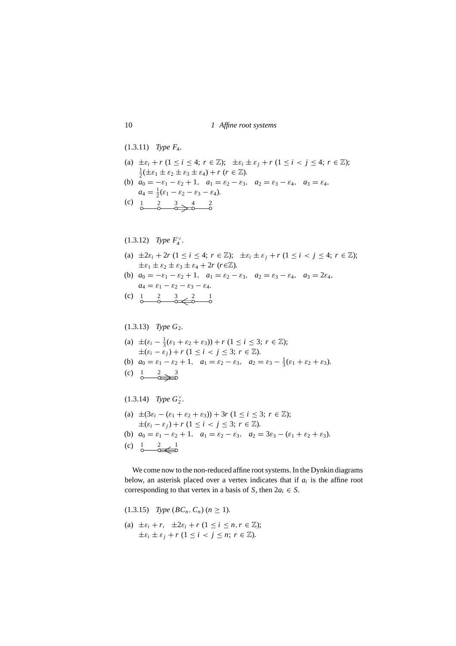(1.3.11) *Type F*4*.*

- (a)  $\pm \varepsilon_i + r$  ( $1 \leq i \leq 4$ ;  $r \in \mathbb{Z}$ );  $\pm \varepsilon_i \pm \varepsilon_j + r$  ( $1 \leq i \leq j \leq 4$ ;  $r \in \mathbb{Z}$ );  $\frac{1}{2}(\pm \varepsilon_1 \pm \varepsilon_2 \pm \varepsilon_3 \pm \varepsilon_4) + r$  ( $r \in \mathbb{Z}$ ).
- (b)  $a_0 = -\varepsilon_1 \varepsilon_2 + 1$ ,  $a_1 = \varepsilon_2 \varepsilon_3$ ,  $a_2 = \varepsilon_3 \varepsilon_4$ ,  $a_3 = \varepsilon_4$ ,  $a_4 = \frac{1}{2}(\varepsilon_1 - \varepsilon_2 - \varepsilon_3 - \varepsilon_4).$
- (c)  $1\atop{0}$   $\underbrace{2}_{0}$   $\underbrace{3}_{0}$   $\underbrace{4}_{0}$   $\underbrace{2}_{0}$

### $(1.3.12)$  *Type*  $F_4^{\vee}$ *.*

- (a)  $\pm 2\varepsilon_i + 2r$  ( $1 \leq i \leq 4$ ;  $r \in \mathbb{Z}$ );  $\pm \varepsilon_i \pm \varepsilon_j + r$  ( $1 \leq i \leq j \leq 4$ ;  $r \in \mathbb{Z}$ );  $\pm \varepsilon_1 \pm \varepsilon_2 \pm \varepsilon_3 \pm \varepsilon_4 + 2r$  (*r*∈Z).
- (b)  $a_0 = -\varepsilon_1 \varepsilon_2 + 1$ ,  $a_1 = \varepsilon_2 \varepsilon_3$ ,  $a_2 = \varepsilon_3 \varepsilon_4$ ,  $a_3 = 2\varepsilon_4$ ,  $a_4 = \varepsilon_1 - \varepsilon_2 - \varepsilon_3 - \varepsilon_4.$
- (c)  $\begin{array}{ccc} 1 & 2 & 3 & 2 & 1 \\ 0 & 0 & 0 & 0 \end{array}$

#### $(1.3.13)$  *Type G*<sub>2</sub>.

- (a)  $\pm(\varepsilon_i \frac{1}{3}(\varepsilon_1 + \varepsilon_2 + \varepsilon_3)) + r$  ( $1 \le i \le 3; r \in \mathbb{Z}$ );  $\pm(\varepsilon_i-\varepsilon_j)+r$  (1  $\leq i < j \leq 3$ ;  $r \in \mathbb{Z}$ ).
- (b)  $a_0 = \varepsilon_1 \varepsilon_2 + 1$ ,  $a_1 = \varepsilon_2 \varepsilon_3$ ,  $a_2 = \varepsilon_3 \frac{1}{3}(\varepsilon_1 + \varepsilon_2 + \varepsilon_3)$ .
- (c)  $\frac{1}{0}$   $\frac{2}{0}$   $\frac{3}{0}$

## $(1.3.14)$  *Type*  $G_2^{\vee}$ *.*

(a)  $\pm(3\varepsilon_i - (\varepsilon_1 + \varepsilon_2 + \varepsilon_3)) + 3r (1 \le i \le 3; r \in \mathbb{Z});$  $\pm(\varepsilon_i-\varepsilon_j)+r$  (1  $\leq i < j \leq 3$ ;  $r \in \mathbb{Z}$ ). (b)  $a_0 = \varepsilon_1 - \varepsilon_2 + 1$ ,  $a_1 = \varepsilon_2 - \varepsilon_3$ ,  $a_2 = 3\varepsilon_3 - (\varepsilon_1 + \varepsilon_2 + \varepsilon_3)$ . (c)  $\frac{1}{0}$   $\frac{2}{0}$   $\frac{1}{0}$ 

We come now to the non-reduced affine root systems. In the Dynkin diagrams below, an asterisk placed over a vertex indicates that if *ai* is the affine root corresponding to that vertex in a basis of *S*, then  $2a_i \in S$ .

$$
(1.3.15) \quad Type \ (BC_n, C_n) \ (n \geq 1).
$$

(a)  $\pm \varepsilon_i + r$ ,  $\pm 2\varepsilon_i + r$  ( $1 \leq i \leq n, r \in \mathbb{Z}$ );  $\pm \varepsilon_i \pm \varepsilon_j + r$  (1 < *i* < *j* < *n*;  $r \in \mathbb{Z}$ ).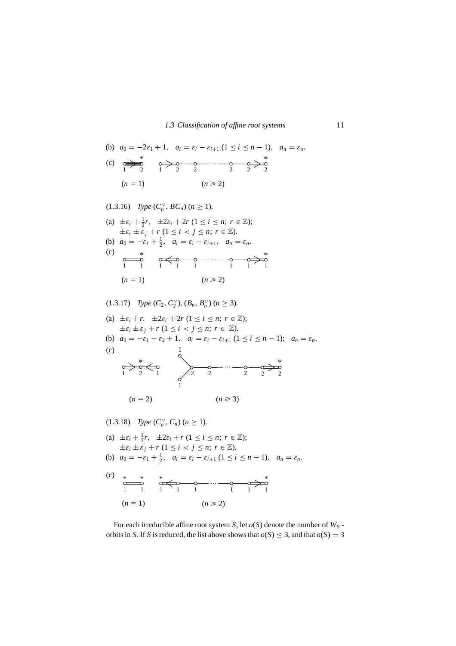(b) 
$$
a_0 = -2\varepsilon_1 + 1
$$
,  $a_i = \varepsilon_i - \varepsilon_{i+1} (1 \le i \le n - 1)$ ,  $a_n = \varepsilon_n$ .  
\n(c)  $\underset{1}{\underbrace{\Leftrightarrow}} \underset{2}{\underbrace{\Leftrightarrow}} \underset{1}{\underbrace{\Leftrightarrow}} \underset{2}{\underbrace{\Leftrightarrow}} \underset{2}{\underbrace{\Leftrightarrow}} \underset{2}{\underbrace{\Leftrightarrow}} \underset{2}{\underbrace{\Leftrightarrow}} \underset{2}{\underbrace{\Leftrightarrow}} \underset{2}{\underbrace{\Leftrightarrow}} \underset{2}{\underbrace{\Leftrightarrow}} \underset{2}{\underbrace{\Leftrightarrow}} \underset{2}{\underbrace{\Leftrightarrow}} \underset{2}{\underbrace{\Leftrightarrow}} \underset{2}{\underbrace{\Leftrightarrow}} \underset{2}{\underbrace{\Leftrightarrow}} \underset{2}{\underbrace{\Leftrightarrow}} \underset{2}{\underbrace{\Leftrightarrow}} \underset{2}{\underbrace{\Leftrightarrow}} \underset{2}{\underbrace{\Leftrightarrow}} \underset{2}{\underbrace{\Leftrightarrow}} \underset{2}{\underbrace{\Leftrightarrow}} \underset{2}{\underbrace{\Leftrightarrow}} \underset{2}{\underbrace{\Leftrightarrow}} \underset{2}{\underbrace{\Leftrightarrow}} \underset{2}{\underbrace{\Leftrightarrow}} \underset{2}{\underbrace{\Leftrightarrow}} \underset{2}{\underbrace{\Leftrightarrow}} \underset{2}{\underbrace{\Leftrightarrow}} \underset{2}{\underbrace{\Leftrightarrow}} \underset{2}{\underbrace{\Leftrightarrow}} \underset{2}{\underbrace{\Leftrightarrow}} \underset{2}{\underbrace{\Leftrightarrow}} \underset{2}{\underbrace{\Leftrightarrow}} \underset{2}{\underbrace{\Leftrightarrow}} \underset{2}{\underbrace{\Leftrightarrow}} \underset{2}{\underbrace{\Leftrightarrow}} \underset{2}{\underbrace{\Leftrightarrow}} \underset{2}{\underbrace{\Leftrightarrow}} \underset{2}{\underbrace{\Leftrightarrow}} \underset{2}{\underbrace{\Leftrightarrow}} \underset{2}{\underbrace{\Leftrightarrow}} \underset{2}{\underbrace{\Leftrightarrow}} \underset{2}{\underbrace{\Leftrightarrow}} \underset{2}{\underbrace{\Leftrightarrow}} \underset{2}{\underbrace{\Leftrightarrow}} \underset{2}{\underbrace{\Leftrightarrow$ 

$$
(1.3.16) \quad Type\ (C_n^{\vee}, BC_n)\ (n \geq 1).
$$

(a) 
$$
\pm \varepsilon_i + \frac{1}{2}r
$$
,  $\pm 2\varepsilon_i + 2r$   $(1 \le i \le n; r \in \mathbb{Z})$ ;  
 $\pm \varepsilon_i \pm \varepsilon_j + r$   $(1 \le i < j \le n; r \in \mathbb{Z})$ .

(b)  $a_0 = -\varepsilon_1 + \frac{1}{2}, \quad a_i = \varepsilon_i - \varepsilon_{i+1}, \quad a_n = \varepsilon_n.$ (c)  $*$ 1 1 1 1 1 1 1 1 1  $(n = 1)$   $(n \ge 2)$ …

 $(\text{1.3.17})$  *Type*  $(C_2, C_2^{\vee}), (B_n, B_n^{\vee})$   $(n \geq 3)$ *.* 

(a) 
$$
\pm \varepsilon_i + r
$$
,  $\pm 2\varepsilon_i + 2r$  ( $1 \le i \le n$ ;  $r \in \mathbb{Z}$ );  
\t $\pm \varepsilon_i \pm \varepsilon_j + r$  ( $1 \le i < j \le n$ ;  $r \in \mathbb{Z}$ ).

(b)  $a_0 = -\varepsilon_1 - \varepsilon_2 + 1$ ,  $a_i = \varepsilon_i - \varepsilon_{i+1}$  ( $1 \le i \le n-1$ );  $a_n = \varepsilon_n$ .

(c)



$$
(1.3.18) \quad Type\ (C_n^{\vee}, C_n)\ (n \geq 1).
$$

(a) 
$$
\pm \varepsilon_i + \frac{1}{2}r
$$
,  $\pm 2\varepsilon_i + r$   $(1 \le i \le n; r \in \mathbb{Z})$ ;  
 $\pm \varepsilon_i \pm \varepsilon_j + r$   $(1 \le i < j \le n; r \in \mathbb{Z})$ .

(b) 
$$
a_0 = -\varepsilon_1 + \frac{1}{2}
$$
,  $a_i = \varepsilon_i - \varepsilon_{i+1} (1 \le i \le n-1)$ ,  $a_n = \varepsilon_n$ .

(c) \* \* \* \* 11 11 1 1 11 (*n*  1) (*n*  2) …

For each irreducible affine root system *S*, let  $o(S)$  denote the number of  $W<sub>S</sub>$  orbits in *S*. If *S* is reduced, the list above shows that  $o(S) \leq 3$ , and that  $o(S) = 3$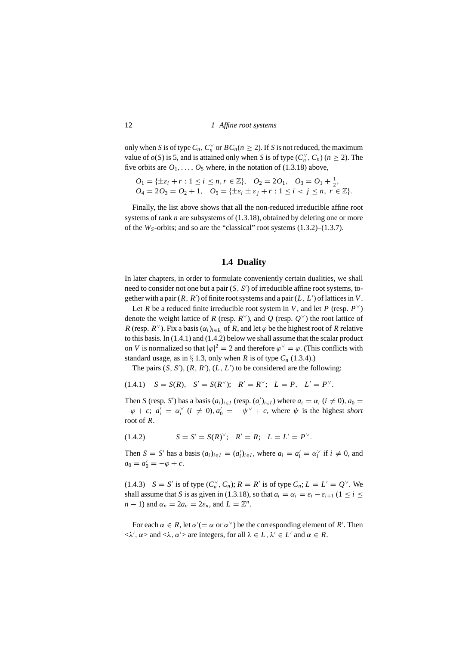only when *S* is of type  $C_n$ ,  $C_n^{\vee}$  or  $BC_n$  ( $n \ge 2$ ). If *S* is not reduced, the maximum value of  $o(S)$  is 5, and is attained only when *S* is of type  $(C_n^{\vee}, C_n)$  ( $n \ge 2$ ). The five orbits are  $O_1, \ldots, O_5$  where, in the notation of (1.3.18) above,

 $O_1 = {\pm \varepsilon_i + r : 1 \le i \le n, r \in \mathbb{Z}}$ ,  $O_2 = 2O_1$ ,  $O_3 = O_1 + \frac{1}{2}$ ,  $O_4 = 2O_3 = O_2 + 1$ ,  $O_5 = {\pm \varepsilon_i \pm \varepsilon_j + r : 1 \le i \le j \le n, r \in \mathbb{Z}}.$ 

Finally, the list above shows that all the non-reduced irreducible affine root systems of rank *n* are subsystems of (1.3.18), obtained by deleting one or more of the  $W_S$ -orbits; and so are the "classical" root systems  $(1.3.2)$ – $(1.3.7)$ .

#### **1.4 Duality**

In later chapters, in order to formulate conveniently certain dualities, we shall need to consider not one but a pair (*S*, *S* ) of irreducible affine root systems, together with a pair  $(R, R')$  of finite root systems and a pair  $(L, L')$  of lattices in  $V$ .

Let *R* be a reduced finite irreducible root system in *V*, and let *P* (resp.  $P^{\vee}$ ) denote the weight lattice of *R* (resp.  $R^{\vee}$ ), and *Q* (resp.  $Q^{\vee}$ ) the root lattice of *R* (resp.  $R^{\vee}$ ). Fix a basis  $(\alpha_i)_{i \in I_0}$  of *R*, and let  $\varphi$  be the highest root of *R* relative to this basis. In (1.4.1) and (1.4.2) below we shall assume that the scalar product on *V* is normalized so that  $|\varphi|^2 = 2$  and therefore  $\varphi^{\vee} = \varphi$ . (This conflicts with standard usage, as in  $\S$  1.3, only when *R* is of type  $C_n$  (1.3.4).)

The pairs  $(S, S')$ ,  $(R, R')$ ,  $(L, L')$  to be considered are the following:

 $(S = S(R), S' = S(R^{\vee}); R' = R^{\vee}; L = P, L' = P^{\vee}.$ 

Then *S* (resp. *S'*) has a basis  $(a_i)_{i \in I}$  (resp.  $(a'_i)_{i \in I}$ ) where  $a_i = \alpha_i$  ( $i \neq 0$ ),  $a_0 =$  $-\varphi + c$ ;  $a'_i = \alpha_i^{\vee}$  ( $i \neq 0$ ),  $a'_0 = -\psi^{\vee} + c$ , where  $\psi$  is the highest *short* root of *R*.

$$
(1.4.2) \tS = S' = S(R)^{\vee}; \tR' = R; \tL = L' = P^{\vee}.
$$

Then  $S = S'$  has a basis  $(a_i)_{i \in I} = (a'_i)_{i \in I}$ , where  $a_i = a'_i = \alpha_i^{\vee}$  if  $i \neq 0$ , and  $a_0 = a'_0 = -\varphi + c.$ 

(1.4.3) *S* = *S'* is of type  $(C_n^{\vee}, C_n)$ ;  $R = R'$  is of type  $C_n$ ;  $L = L' = Q^{\vee}$ . We shall assume that *S* is as given in (1.3.18), so that  $a_i = \alpha_i = \varepsilon_i - \varepsilon_{i+1}$  (1 ≤ *i* ≤  $n-1$ ) and  $\alpha_n = 2a_n = 2\varepsilon_n$ , and  $L = \mathbb{Z}^n$ .

For each  $\alpha \in R$ , let  $\alpha' (= \alpha \text{ or } \alpha^{\vee})$  be the corresponding element of  $R'$ . Then  $\langle \lambda', \alpha \rangle$  and  $\langle \lambda, \alpha' \rangle$  are integers, for all  $\lambda \in L$ ,  $\lambda' \in L'$  and  $\alpha \in R$ .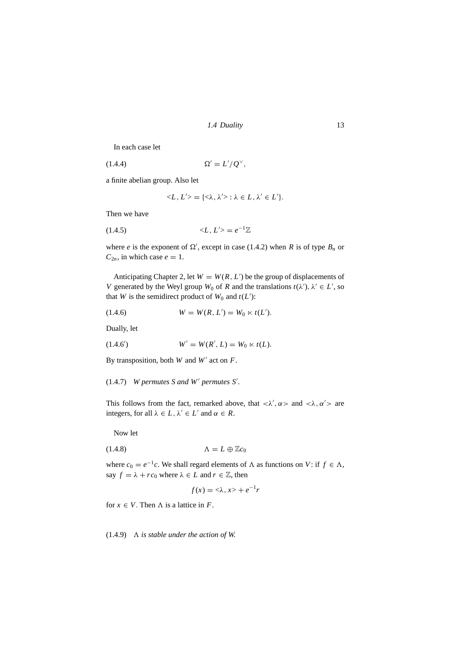*1.4 Duality* 13

In each case let

$$
(1.4.4) \t\t \Omega' = L'/Q^{\vee},
$$

a finite abelian group. Also let

$$
\langle L, L' \rangle = \{ \langle \lambda, \lambda' \rangle : \lambda \in L, \lambda' \in L' \}.
$$

Then we have

$$
(1.4.5) \qquad \qquad =e^{-1}\mathbb{Z}
$$

where *e* is the exponent of  $\Omega'$ , except in case (1.4.2) when *R* is of type  $B_n$  or  $C_{2n}$ , in which case  $e = 1$ .

Anticipating Chapter 2, let  $W = W(R, L')$  be the group of displacements of *V* generated by the Weyl group  $W_0$  of *R* and the translations  $t(\lambda')$ ,  $\lambda' \in L'$ , so that *W* is the semidirect product of  $W_0$  and  $t(L')$ :

(1.4.6) 
$$
W = W(R, L') = W_0 \ltimes t(L').
$$

Dually, let

(1.4.6') 
$$
W' = W(R', L) = W_0 \ltimes t(L).
$$

By transposition, both *W* and *W* act on *F*.

(1.4.7) *W permutes Sand W permutes S .*

This follows from the fact, remarked above, that  $\langle \lambda', \alpha \rangle$  and  $\langle \lambda, \alpha' \rangle$  are integers, for all  $\lambda \in L$ ,  $\lambda' \in L'$  and  $\alpha \in R$ .

Now let

$$
\Lambda = L \oplus \mathbb{Z}c_0
$$

where  $c_0 = e^{-1}c$ . We shall regard elements of  $\Lambda$  as functions on *V*: if  $f \in \Lambda$ , say  $f = \lambda + rc_0$  where  $\lambda \in L$  and  $r \in \mathbb{Z}$ , then

$$
f(x) = \langle \lambda, x \rangle + e^{-1}r
$$

for  $x \in V$ . Then  $\Lambda$  is a lattice in *F*.

 $(1.4.9)$   $\Lambda$  *is stable under the action of W.*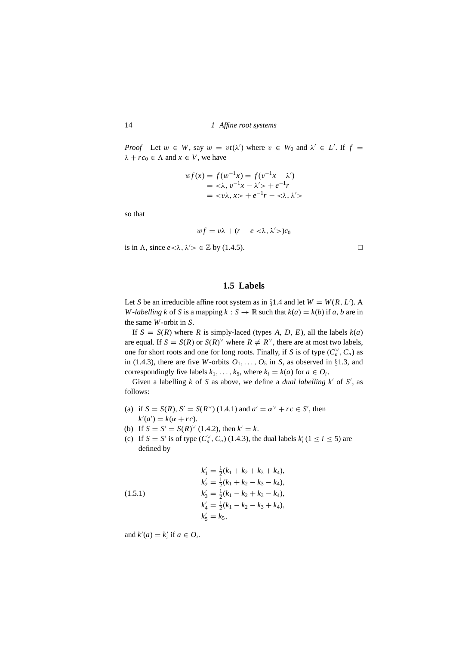*Proof* Let  $w \in W$ , say  $w = vt(\lambda')$  where  $v \in W_0$  and  $\lambda' \in L'$ . If  $f =$  $\lambda + r c_0 \in \Lambda$  and  $x \in V$ , we have

$$
wf(x) = f(w^{-1}x) = f(v^{-1}x - \lambda')
$$
  
=  $\langle \lambda, v^{-1}x - \lambda' \rangle + e^{-1}r$   
=  $\langle v\lambda, x \rangle + e^{-1}r - \langle \lambda, \lambda' \rangle$ 

so that

$$
wf = v\lambda + (r - e < \lambda, \lambda' > )c_0
$$

is in  $\Lambda$ , since  $e < \lambda$ ,  $\lambda' > \epsilon \mathbb{Z}$  by (1.4.5).

#### **1.5 Labels**

Let *S* be an irreducible affine root system as in  $\S1.4$  and let  $W = W(R, L')$ . A *W*-*labelling k* of *S* is a mapping  $k : S \to \mathbb{R}$  such that  $k(a) = k(b)$  if *a*, *b* are in the same *W*-orbit in *S*.

If  $S = S(R)$  where *R* is simply-laced (types *A*, *D*, *E*), all the labels  $k(a)$ are equal. If  $S = S(R)$  or  $S(R)^{\vee}$  where  $R \neq R^{\vee}$ , there are at most two labels, one for short roots and one for long roots. Finally, if *S* is of type  $(C_n^{\vee}, C_n)$  as in (1.4.3), there are five *W*-orbits  $O_1, \ldots, O_5$  in *S*, as observed in §1.3, and correspondingly five labels  $k_1$ ,...,  $k_5$ , where  $k_i = k(a)$  for  $a \in O_i$ .

Given a labelling *k* of *S* as above, we define a *dual labelling k'* of *S'*, as follows:

- (a) if  $S = S(R)$ ,  $S' = S(R^{\vee})$  (1.4.1) and  $a' = \alpha^{\vee} + rc \in S'$ , then  $k'(a') = k(\alpha + rc).$
- (b) If  $S = S' = S(R)^{\vee}$  (1.4.2), then  $k' = k$ .
- (c) If  $S = S'$  is of type  $(C_n^{\vee}, C_n)$  (1.4.3), the dual labels  $k'_i$  (1  $\le i \le 5$ ) are defined by

(1.5.1)  
\n
$$
k'_1 = \frac{1}{2}(k_1 + k_2 + k_3 + k_4),
$$
\n
$$
k'_2 = \frac{1}{2}(k_1 + k_2 - k_3 - k_4),
$$
\n
$$
k'_3 = \frac{1}{2}(k_1 - k_2 + k_3 - k_4),
$$
\n
$$
k'_4 = \frac{1}{2}(k_1 - k_2 - k_3 + k_4),
$$
\n
$$
k'_5 = k_5,
$$

and  $k'(a) = k'_i$  if  $a \in O_i$ .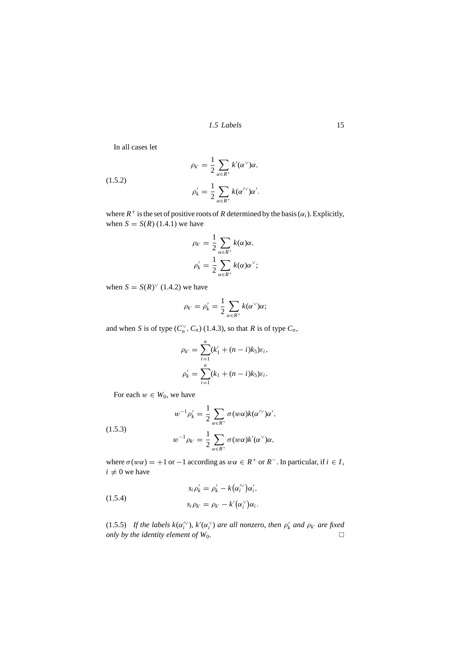*1.5 Labels* 15

In all cases let

(1.5.2)  
\n
$$
\rho_{k'} = \frac{1}{2} \sum_{\alpha \in R^+} k'(\alpha^{\vee}) \alpha,
$$
\n
$$
\rho'_{k} = \frac{1}{2} \sum_{\alpha \in R^+} k(\alpha^{\vee}) \alpha'.
$$

where  $R^+$  is the set of positive roots of *R* determined by the basis ( $\alpha_i$ ). Explicitly, when  $S = S(R)$  (1.4.1) we have

$$
\rho_{k'} = \frac{1}{2} \sum_{\alpha \in R^+} k(\alpha) \alpha,
$$
  

$$
\rho'_{k} = \frac{1}{2} \sum_{\alpha \in R^+} k(\alpha) \alpha^{\vee};
$$

when  $S = S(R)^{\vee}$  (1.4.2) we have

$$
\rho_{k'}=\rho'_{k}=\frac{1}{2}\sum_{\alpha\in R^{+}}k(\alpha^{\vee})\alpha;
$$

and when *S* is of type  $(C_n^{\vee}, C_n)$  (1.4.3), so that *R* is of type  $C_n$ ,

$$
\rho_{k'} = \sum_{i=1}^{n} (k'_1 + (n - i)k_5)\varepsilon_i,
$$
  

$$
\rho'_{k} = \sum_{i=1}^{n} (k_1 + (n - i)k_5)\varepsilon_i.
$$

For each  $w \in W_0$ , we have

(1.5.3)  

$$
w^{-1}\rho'_k = \frac{1}{2} \sum_{\alpha \in R^+} \sigma(w\alpha)k(\alpha^{\prime\vee})\alpha',
$$

$$
w^{-1}\rho_{k'} = \frac{1}{2} \sum_{\alpha \in R^+} \sigma(w\alpha)k'(\alpha^{\vee})\alpha,
$$

where  $\sigma(w\alpha) = +1$  or  $-1$  according as  $w\alpha \in R^+$  or  $R^-$ . In particular, if  $i \in I$ ,  $i \neq 0$  we have

(1.5.4)  

$$
s_i \rho'_k = \rho'_k - k(\alpha_i^{\vee})\alpha'_i,
$$

$$
s_i \rho_{k'} = \rho_{k'} - k'(\alpha_i^{\vee})\alpha_i.
$$

(1.5.5) If the labels  $k(\alpha_i^{\vee\vee})$ ,  $k'(\alpha_i^{\vee})$  are all nonzero, then  $\rho'_k$  and  $\rho_{k'}$  are fixed *only by the identity element of*  $W_0$ *.*  $\Box$